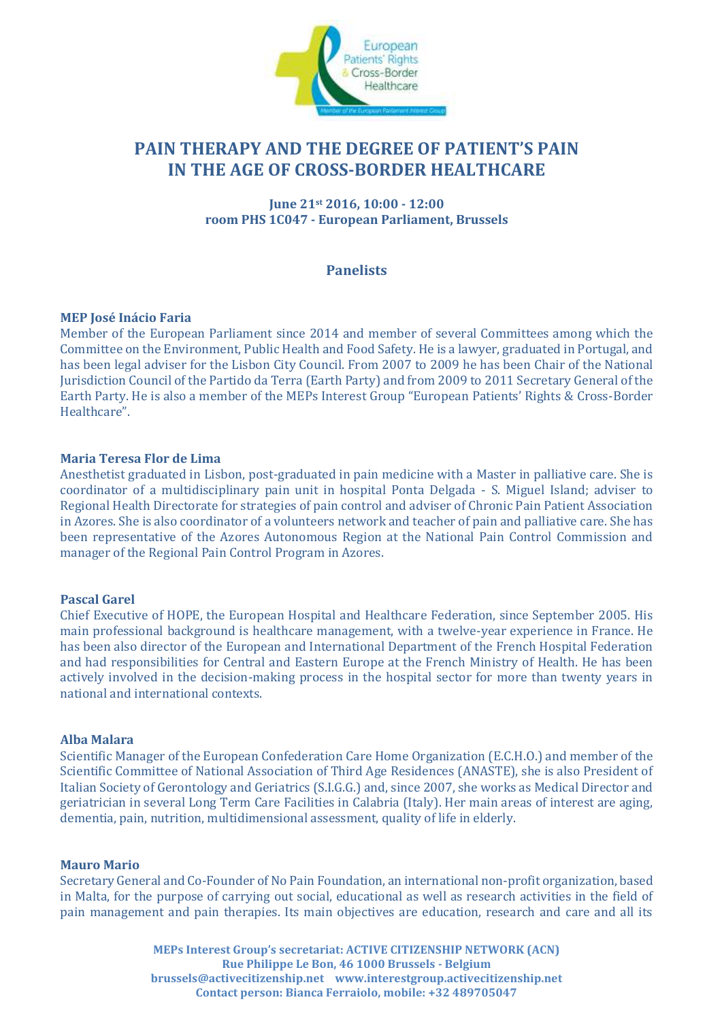

# **PAIN THERAPY AND THE DEGREE OF PATIENT'S PAIN IN THE AGE OF CROSS-BORDER HEALTHCARE**

**June 21st 2016, 10:00 - 12:00 room PHS 1C047 - European Parliament, Brussels**

## **Panelists**

## **MEP José Inácio Faria**

Member of the European Parliament since 2014 and member of several Committees among which the Committee on the Environment, Public Health and Food Safety. He is a lawyer, graduated in Portugal, and has been legal adviser for the Lisbon City Council. From 2007 to 2009 he has been Chair of the National Jurisdiction Council of the Partido da Terra (Earth Party) and from 2009 to 2011 Secretary General of the Earth Party. He is also a member of the MEPs Interest Group "European Patients' Rights & Cross-Border Healthcare".

## **Maria Teresa Flor de Lima**

Anesthetist graduated in Lisbon, post-graduated in pain medicine with a Master in palliative care. She is coordinator of a multidisciplinary pain unit in hospital Ponta Delgada - S. Miguel Island; adviser to Regional Health Directorate for strategies of pain control and adviser of Chronic Pain Patient Association in Azores. She is also coordinator of a volunteers network and teacher of pain and palliative care. She has been representative of the Azores Autonomous Region at the National Pain Control Commission and manager of the Regional Pain Control Program in Azores.

## **Pascal Garel**

Chief Executive of HOPE, the European Hospital and Healthcare Federation, since September 2005. His main professional background is healthcare management, with a twelve-year experience in France. He has been also director of the European and International Department of the French Hospital Federation and had responsibilities for Central and Eastern Europe at the French Ministry of Health. He has been actively involved in the decision-making process in the hospital sector for more than twenty years in national and international contexts.

## **Alba Malara**

Scientific Manager of the European Confederation Care Home Organization (E.C.H.O.) and member of the Scientific Committee of National Association of Third Age Residences (ANASTE), she is also President of Italian Society of Gerontology and Geriatrics (S.I.G.G.) and, since 2007, she works as Medical Director and geriatrician in several Long Term Care Facilities in Calabria (Italy). Her main areas of interest are aging, dementia, pain, nutrition, multidimensional assessment, quality of life in elderly.

## **Mauro Mario**

Secretary General and Co-Founder of No Pain Foundation, an international non-profit organization, based in Malta, for the purpose of carrying out social, educational as well as research activities in the field of pain management and pain therapies. Its main objectives are education, research and care and all its

> **MEPs Interest Group's secretariat: ACTIVE CITIZENSHIP NETWORK (ACN) Rue Philippe Le Bon, 46 1000 Brussels - Belgium brussels@activecitizenship.net www.interestgroup.activecitizenship.net Contact person: Bianca Ferraiolo, mobile: +32 489705047**